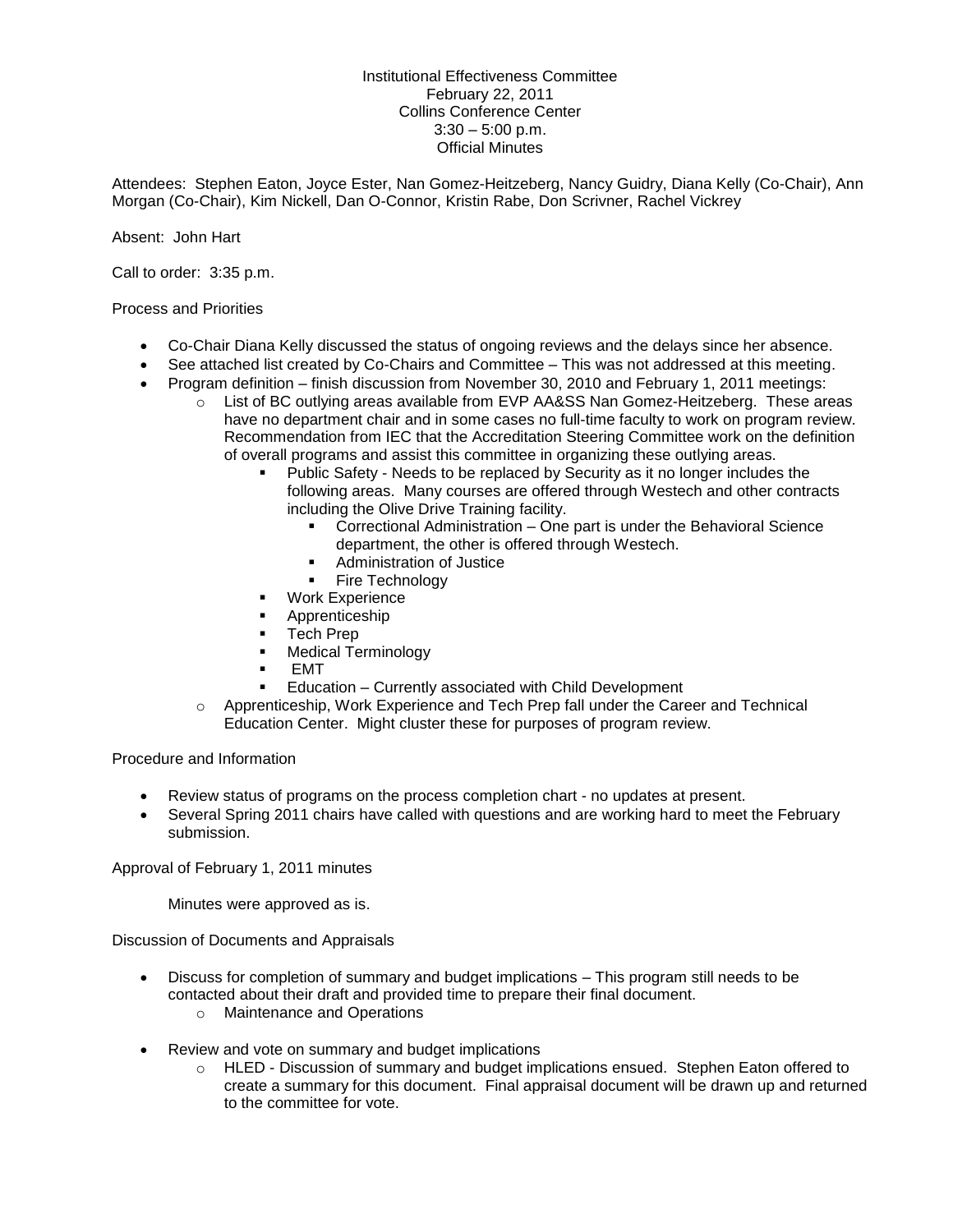Institutional Effectiveness Committee February 22, 2011 Collins Conference Center  $3:30 - 5:00$  p.m. Official Minutes

Attendees: Stephen Eaton, Joyce Ester, Nan Gomez-Heitzeberg, Nancy Guidry, Diana Kelly (Co-Chair), Ann Morgan (Co-Chair), Kim Nickell, Dan O-Connor, Kristin Rabe, Don Scrivner, Rachel Vickrey

Absent: John Hart

Call to order: 3:35 p.m.

## Process and Priorities

- Co-Chair Diana Kelly discussed the status of ongoing reviews and the delays since her absence.
- See attached list created by Co-Chairs and Committee This was not addressed at this meeting.
- Program definition finish discussion from November 30, 2010 and February 1, 2011 meetings:
	- $\circ$  List of BC outlying areas available from EVP AA&SS Nan Gomez-Heitzeberg. These areas have no department chair and in some cases no full-time faculty to work on program review. Recommendation from IEC that the Accreditation Steering Committee work on the definition of overall programs and assist this committee in organizing these outlying areas.
		- Public Safety Needs to be replaced by Security as it no longer includes the following areas. Many courses are offered through Westech and other contracts including the Olive Drive Training facility.
			- **•** Correctional Administration One part is under the Behavioral Science department, the other is offered through Westech.
			- **Administration of Justice**
			- Fire Technology
		- **Work Experience**
		- Apprenticeship
		- Tech Prep
		- **Nedical Terminology**
		- EMT
		- Education Currently associated with Child Development
	- o Apprenticeship, Work Experience and Tech Prep fall under the Career and Technical Education Center. Might cluster these for purposes of program review.

Procedure and Information

- Review status of programs on the process completion chart no updates at present.
- Several Spring 2011 chairs have called with questions and are working hard to meet the February submission.

Approval of February 1, 2011 minutes

Minutes were approved as is.

Discussion of Documents and Appraisals

- Discuss for completion of summary and budget implications This program still needs to be contacted about their draft and provided time to prepare their final document.
	- o Maintenance and Operations
- Review and vote on summary and budget implications
	- o HLED Discussion of summary and budget implications ensued. Stephen Eaton offered to create a summary for this document. Final appraisal document will be drawn up and returned to the committee for vote.